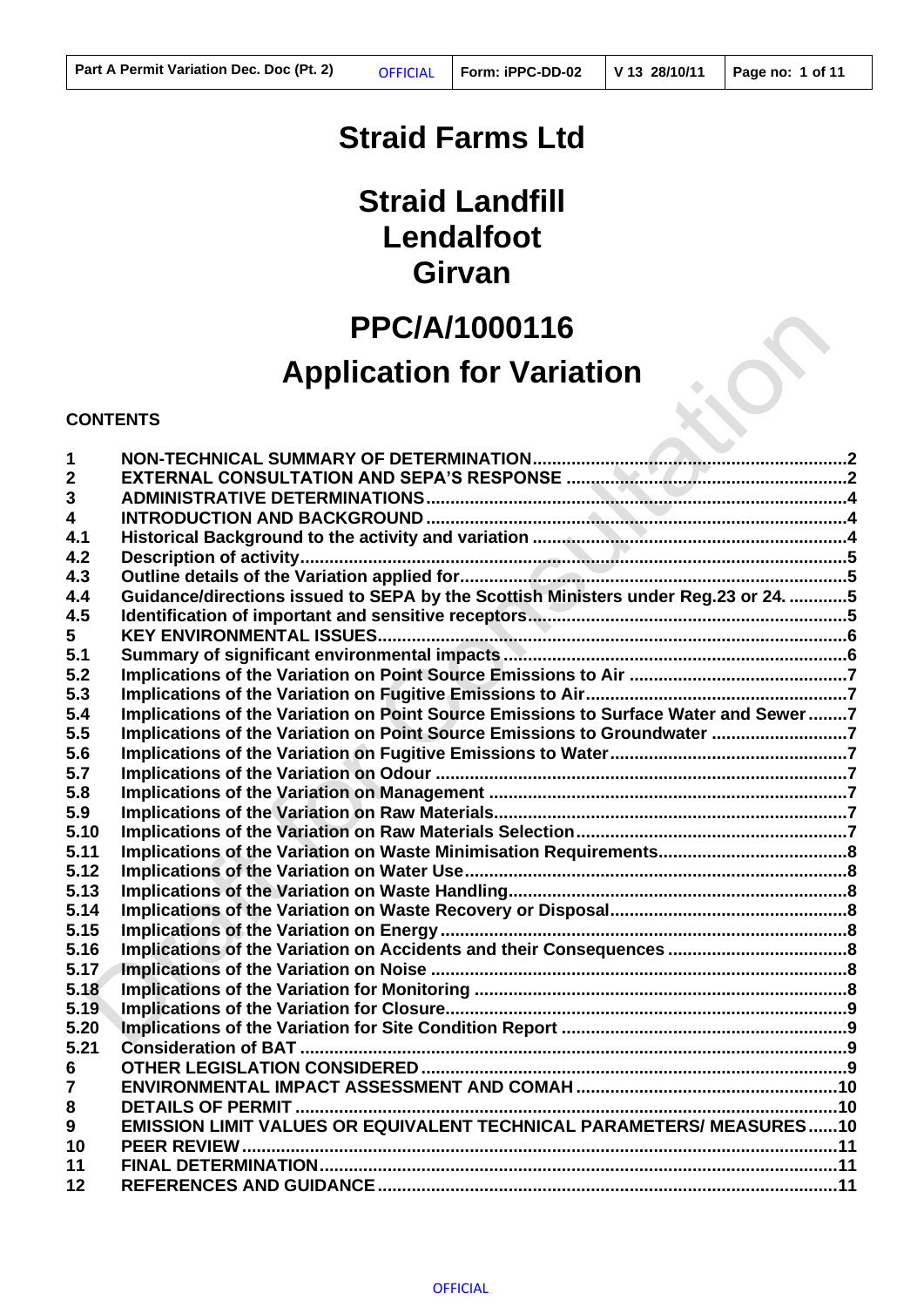# **Straid Farms Ltd**

# **Straid Landfill Lendalfoot Girvan**

# **PPC/A/1000116**

# **Application for Variation**

#### **CONTENTS**

| 1                       |                                                                                      |  |
|-------------------------|--------------------------------------------------------------------------------------|--|
| $\mathbf{2}$<br>3       |                                                                                      |  |
| $\overline{\mathbf{4}}$ |                                                                                      |  |
| 4.1                     |                                                                                      |  |
| 4.2                     |                                                                                      |  |
| 4.3                     |                                                                                      |  |
| 4.4                     | Guidance/directions issued to SEPA by the Scottish Ministers under Reg.23 or 24. 5   |  |
| 4.5                     |                                                                                      |  |
| 5                       |                                                                                      |  |
| 5.1                     |                                                                                      |  |
| 5.2                     |                                                                                      |  |
| 5.3                     |                                                                                      |  |
| 5.4                     | Implications of the Variation on Point Source Emissions to Surface Water and Sewer 7 |  |
| 5.5                     | Implications of the Variation on Point Source Emissions to Groundwater 7             |  |
| 5.6                     |                                                                                      |  |
| 5.7                     |                                                                                      |  |
| 5.8                     |                                                                                      |  |
| 5.9                     |                                                                                      |  |
| 5.10                    |                                                                                      |  |
| 5.11                    |                                                                                      |  |
| 5.12                    |                                                                                      |  |
| 5.13                    |                                                                                      |  |
| 5.14                    |                                                                                      |  |
| 5.15                    |                                                                                      |  |
| 5.16                    |                                                                                      |  |
| 5.17                    |                                                                                      |  |
| 5.18                    |                                                                                      |  |
| 5.19                    |                                                                                      |  |
| 5.20                    |                                                                                      |  |
| 5.21                    |                                                                                      |  |
| 6                       |                                                                                      |  |
| $\overline{7}$          |                                                                                      |  |
| 8                       |                                                                                      |  |
| 9                       | <b>EMISSION LIMIT VALUES OR EQUIVALENT TECHNICAL PARAMETERS/ MEASURES10</b>          |  |
| 10                      |                                                                                      |  |
| 11                      |                                                                                      |  |
| 12                      |                                                                                      |  |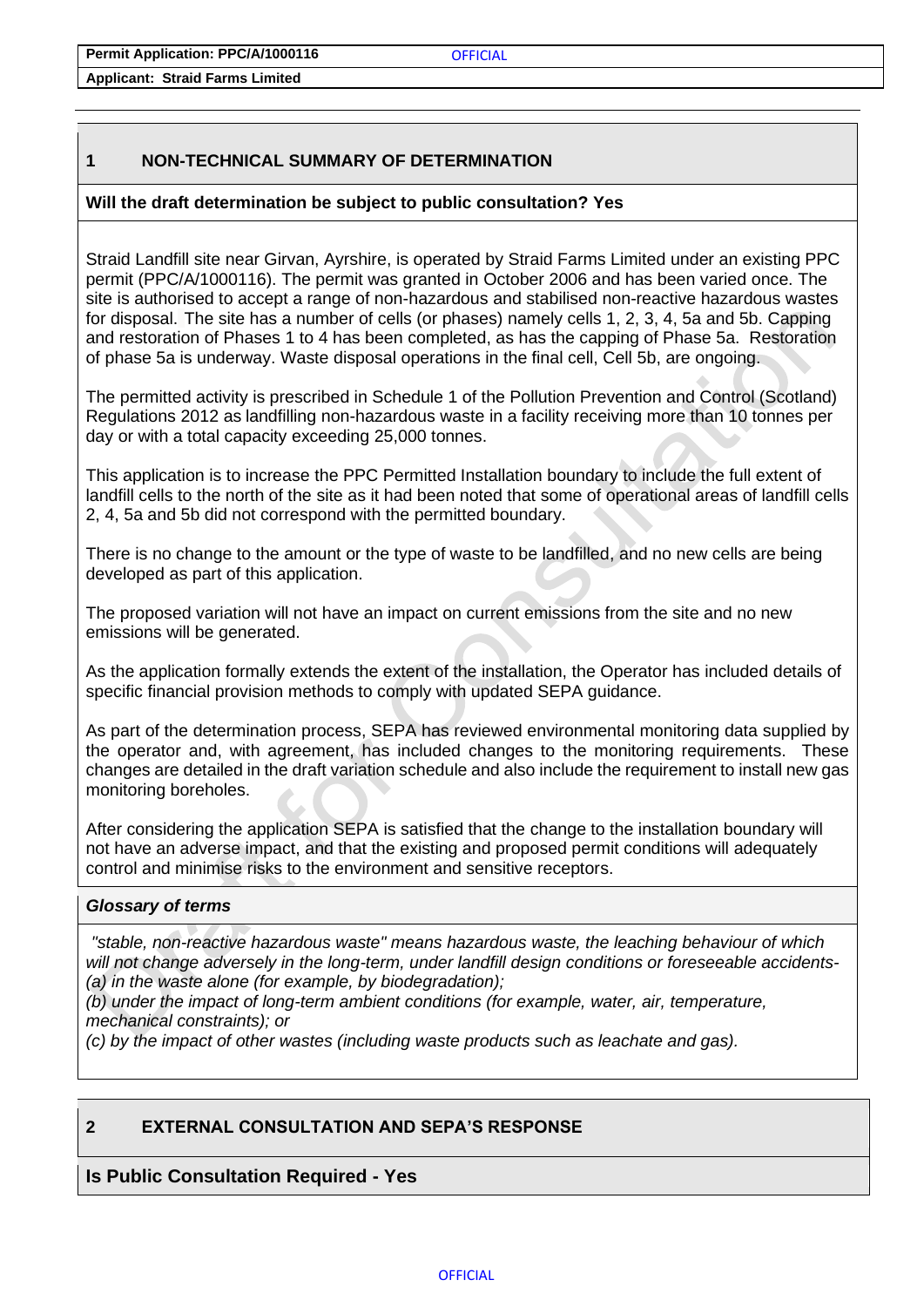**Permit Application: PPC/A/1000116**

**Applicant: Straid Farms Limited** 

## <span id="page-1-0"></span>**1 NON-TECHNICAL SUMMARY OF DETERMINATION**

## **Will the draft determination be subject to public consultation? Yes**

Straid Landfill site near Girvan, Ayrshire, is operated by Straid Farms Limited under an existing PPC permit (PPC/A/1000116). The permit was granted in October 2006 and has been varied once. The site is authorised to accept a range of non-hazardous and stabilised non-reactive hazardous wastes for disposal. The site has a number of cells (or phases) namely cells 1, 2, 3, 4, 5a and 5b. Capping and restoration of Phases 1 to 4 has been completed, as has the capping of Phase 5a. Restoration of phase 5a is underway. Waste disposal operations in the final cell, Cell 5b, are ongoing.

The permitted activity is prescribed in Schedule 1 of the Pollution Prevention and Control (Scotland) Regulations 2012 as landfilling non-hazardous waste in a facility receiving more than 10 tonnes per day or with a total capacity exceeding 25,000 tonnes.

This application is to increase the PPC Permitted Installation boundary to include the full extent of landfill cells to the north of the site as it had been noted that some of operational areas of landfill cells 2, 4, 5a and 5b did not correspond with the permitted boundary.

There is no change to the amount or the type of waste to be landfilled, and no new cells are being developed as part of this application.

The proposed variation will not have an impact on current emissions from the site and no new emissions will be generated.

As the application formally extends the extent of the installation, the Operator has included details of specific financial provision methods to comply with updated SEPA guidance.

As part of the determination process, SEPA has reviewed environmental monitoring data supplied by the operator and, with agreement, has included changes to the monitoring requirements. These changes are detailed in the draft variation schedule and also include the requirement to install new gas monitoring boreholes.

After considering the application SEPA is satisfied that the change to the installation boundary will not have an adverse impact, and that the existing and proposed permit conditions will adequately control and minimise risks to the environment and sensitive receptors.

### *Glossary of terms*

*"stable, non-reactive hazardous waste" means hazardous waste, the leaching behaviour of which will not change adversely in the long-term, under landfill design conditions or foreseeable accidents- (a) in the waste alone (for example, by biodegradation);*

*(b) under the impact of long-term ambient conditions (for example, water, air, temperature, mechanical constraints); or*

*(c) by the impact of other wastes (including waste products such as leachate and gas).*

## <span id="page-1-1"></span>**2 EXTERNAL CONSULTATION AND SEPA'S RESPONSE**

## **Is Public Consultation Required - Yes**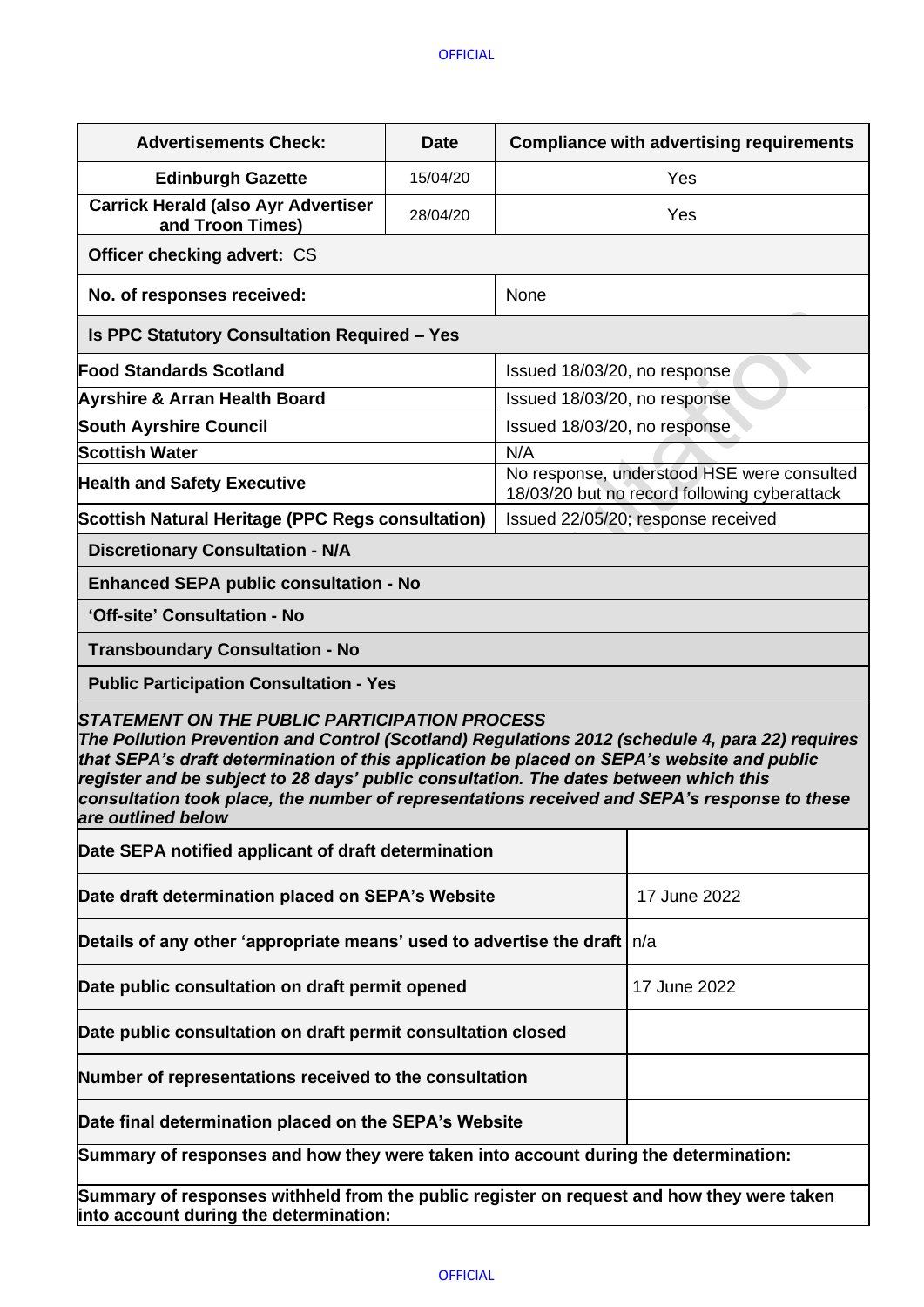| <b>Advertisements Check:</b>                                                                                                                                                                                                                                                                                                                                                                                                                                         | <b>Date</b>                                                                                | <b>Compliance with advertising requirements</b> |  |  |  |
|----------------------------------------------------------------------------------------------------------------------------------------------------------------------------------------------------------------------------------------------------------------------------------------------------------------------------------------------------------------------------------------------------------------------------------------------------------------------|--------------------------------------------------------------------------------------------|-------------------------------------------------|--|--|--|
| <b>Edinburgh Gazette</b>                                                                                                                                                                                                                                                                                                                                                                                                                                             | 15/04/20                                                                                   | Yes                                             |  |  |  |
| <b>Carrick Herald (also Ayr Advertiser</b><br>and Troon Times)                                                                                                                                                                                                                                                                                                                                                                                                       | 28/04/20                                                                                   | Yes                                             |  |  |  |
| <b>Officer checking advert: CS</b>                                                                                                                                                                                                                                                                                                                                                                                                                                   |                                                                                            |                                                 |  |  |  |
| No. of responses received:                                                                                                                                                                                                                                                                                                                                                                                                                                           |                                                                                            | None                                            |  |  |  |
| <b>Is PPC Statutory Consultation Required - Yes</b>                                                                                                                                                                                                                                                                                                                                                                                                                  |                                                                                            |                                                 |  |  |  |
| <b>Food Standards Scotland</b>                                                                                                                                                                                                                                                                                                                                                                                                                                       | Issued 18/03/20, no response                                                               |                                                 |  |  |  |
| <b>Ayrshire &amp; Arran Health Board</b>                                                                                                                                                                                                                                                                                                                                                                                                                             | Issued 18/03/20, no response                                                               |                                                 |  |  |  |
| <b>South Ayrshire Council</b>                                                                                                                                                                                                                                                                                                                                                                                                                                        | Issued 18/03/20, no response                                                               |                                                 |  |  |  |
| <b>Scottish Water</b>                                                                                                                                                                                                                                                                                                                                                                                                                                                |                                                                                            |                                                 |  |  |  |
| <b>Health and Safety Executive</b>                                                                                                                                                                                                                                                                                                                                                                                                                                   | No response, understood HSE were consulted<br>18/03/20 but no record following cyberattack |                                                 |  |  |  |
| Scottish Natural Heritage (PPC Regs consultation)                                                                                                                                                                                                                                                                                                                                                                                                                    | Issued 22/05/20; response received                                                         |                                                 |  |  |  |
| <b>Discretionary Consultation - N/A</b>                                                                                                                                                                                                                                                                                                                                                                                                                              |                                                                                            |                                                 |  |  |  |
| <b>Enhanced SEPA public consultation - No</b>                                                                                                                                                                                                                                                                                                                                                                                                                        |                                                                                            |                                                 |  |  |  |
| 'Off-site' Consultation - No                                                                                                                                                                                                                                                                                                                                                                                                                                         |                                                                                            |                                                 |  |  |  |
| <b>Transboundary Consultation - No</b>                                                                                                                                                                                                                                                                                                                                                                                                                               |                                                                                            |                                                 |  |  |  |
| <b>Public Participation Consultation - Yes</b>                                                                                                                                                                                                                                                                                                                                                                                                                       |                                                                                            |                                                 |  |  |  |
| <b>STATEMENT ON THE PUBLIC PARTICIPATION PROCESS</b><br>The Pollution Prevention and Control (Scotland) Regulations 2012 (schedule 4, para 22) requires<br>that SEPA's draft determination of this application be placed on SEPA's website and public<br>register and be subject to 28 days' public consultation. The dates between which this<br>consultation took place, the number of representations received and SEPA's response to these<br>are outlined below |                                                                                            |                                                 |  |  |  |
| Date SEPA notified applicant of draft determination                                                                                                                                                                                                                                                                                                                                                                                                                  |                                                                                            |                                                 |  |  |  |
| Date draft determination placed on SEPA's Website                                                                                                                                                                                                                                                                                                                                                                                                                    | 17 June 2022                                                                               |                                                 |  |  |  |
| Details of any other 'appropriate means' used to advertise the draft                                                                                                                                                                                                                                                                                                                                                                                                 | n/a                                                                                        |                                                 |  |  |  |
| Date public consultation on draft permit opened                                                                                                                                                                                                                                                                                                                                                                                                                      | 17 June 2022                                                                               |                                                 |  |  |  |
| Date public consultation on draft permit consultation closed                                                                                                                                                                                                                                                                                                                                                                                                         |                                                                                            |                                                 |  |  |  |
| Number of representations received to the consultation                                                                                                                                                                                                                                                                                                                                                                                                               |                                                                                            |                                                 |  |  |  |
| Date final determination placed on the SEPA's Website                                                                                                                                                                                                                                                                                                                                                                                                                |                                                                                            |                                                 |  |  |  |
| Summary of responses and how they were taken into account during the determination:                                                                                                                                                                                                                                                                                                                                                                                  |                                                                                            |                                                 |  |  |  |
| Summary of responses withheld from the public register on request and how they were taken<br>into account during the determination:                                                                                                                                                                                                                                                                                                                                  |                                                                                            |                                                 |  |  |  |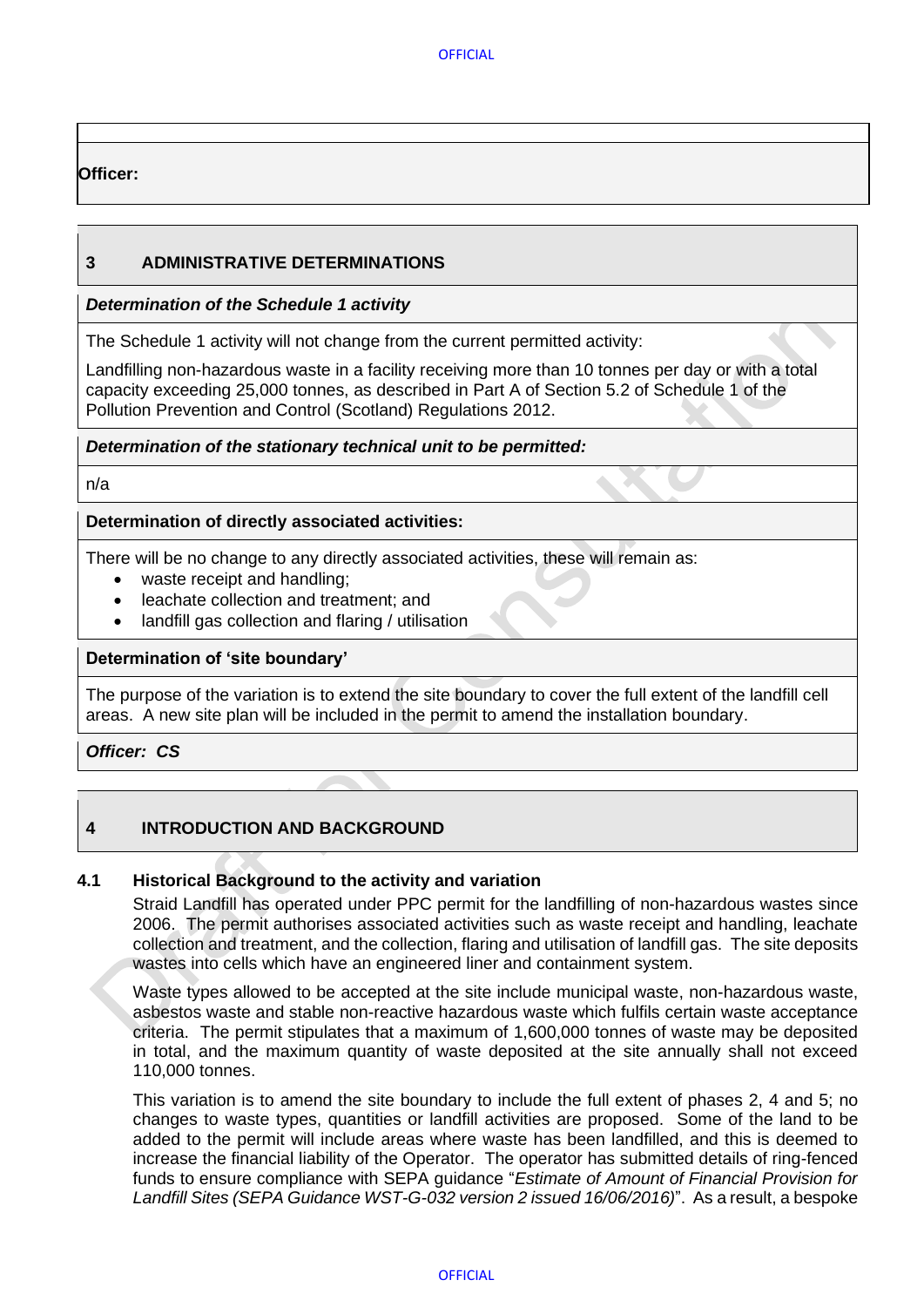**OFFICIAL** 

## **Officer:**

## <span id="page-3-0"></span>**3 ADMINISTRATIVE DETERMINATIONS**

## *Determination of the Schedule 1 activity*

The Schedule 1 activity will not change from the current permitted activity:

Landfilling non-hazardous waste in a facility receiving more than 10 tonnes per day or with a total capacity exceeding 25,000 tonnes, as described in Part A of Section 5.2 of Schedule 1 of the Pollution Prevention and Control (Scotland) Regulations 2012.

## *Determination of the stationary technical unit to be permitted:*

n/a

## **Determination of directly associated activities:**

There will be no change to any directly associated activities, these will remain as:

- waste receipt and handling;
- leachate collection and treatment; and
- landfill gas collection and flaring / utilisation

## **Determination of 'site boundary'**

The purpose of the variation is to extend the site boundary to cover the full extent of the landfill cell areas. A new site plan will be included in the permit to amend the installation boundary.

*Officer: CS*

## <span id="page-3-1"></span>**4 INTRODUCTION AND BACKGROUND**

### <span id="page-3-2"></span>**4.1 Historical Background to the activity and variation**

Straid Landfill has operated under PPC permit for the landfilling of non-hazardous wastes since 2006. The permit authorises associated activities such as waste receipt and handling, leachate collection and treatment, and the collection, flaring and utilisation of landfill gas. The site deposits wastes into cells which have an engineered liner and containment system.

Waste types allowed to be accepted at the site include municipal waste, non-hazardous waste, asbestos waste and stable non-reactive hazardous waste which fulfils certain waste acceptance criteria. The permit stipulates that a maximum of 1,600,000 tonnes of waste may be deposited in total, and the maximum quantity of waste deposited at the site annually shall not exceed 110,000 tonnes.

This variation is to amend the site boundary to include the full extent of phases 2, 4 and 5; no changes to waste types, quantities or landfill activities are proposed. Some of the land to be added to the permit will include areas where waste has been landfilled, and this is deemed to increase the financial liability of the Operator. The operator has submitted details of ring-fenced funds to ensure compliance with SEPA guidance "*Estimate of Amount of Financial Provision for Landfill Sites (SEPA Guidance WST-G-032 version 2 issued 16/06/2016)*". As a result, a bespoke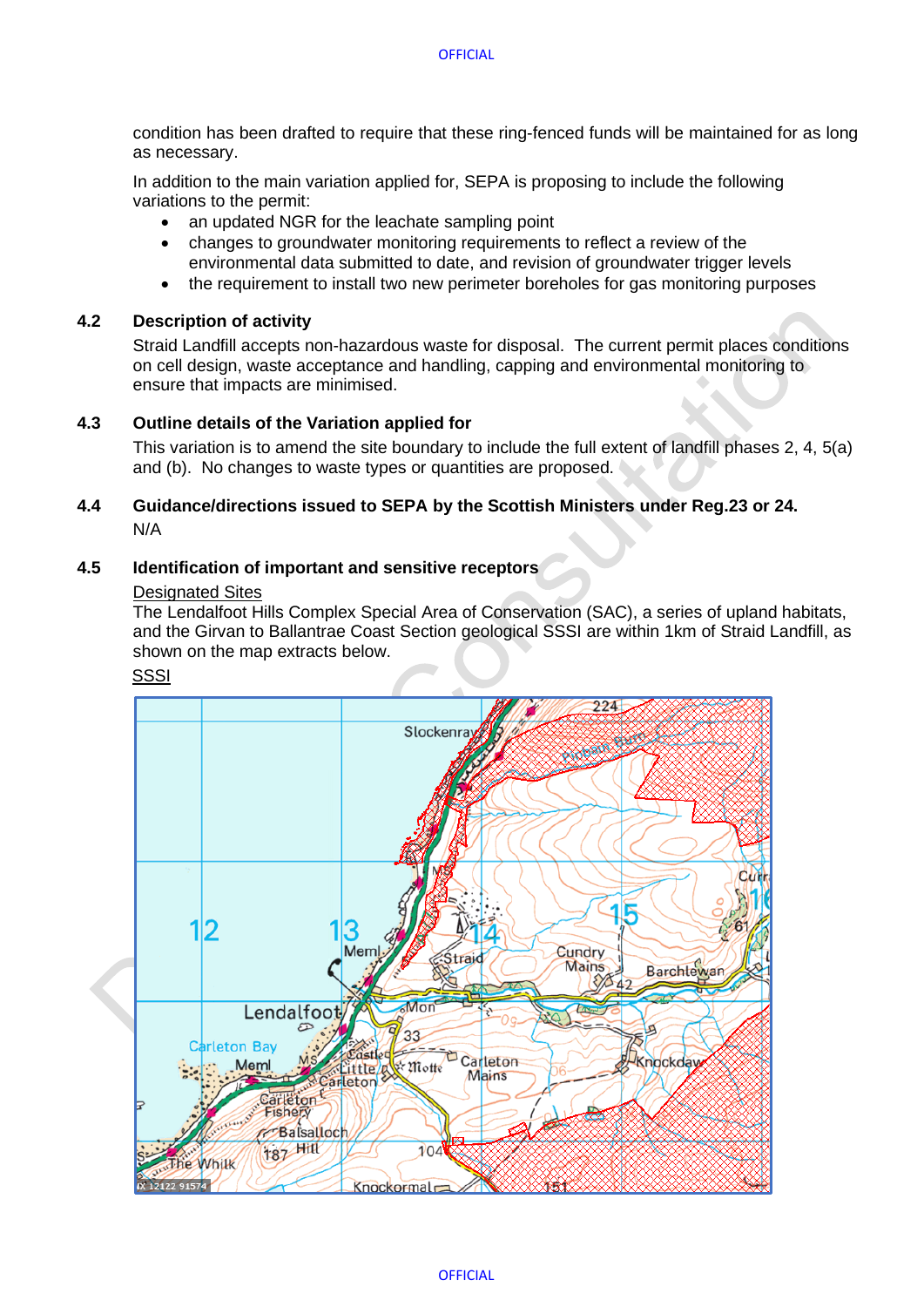condition has been drafted to require that these ring-fenced funds will be maintained for as long as necessary.

In addition to the main variation applied for, SEPA is proposing to include the following variations to the permit:

- an updated NGR for the leachate sampling point
- changes to groundwater monitoring requirements to reflect a review of the environmental data submitted to date, and revision of groundwater trigger levels
- the requirement to install two new perimeter boreholes for gas monitoring purposes

#### <span id="page-4-0"></span>**4.2 Description of activity**

Straid Landfill accepts non-hazardous waste for disposal. The current permit places conditions on cell design, waste acceptance and handling, capping and environmental monitoring to ensure that impacts are minimised.

#### <span id="page-4-1"></span>**4.3 Outline details of the Variation applied for**

This variation is to amend the site boundary to include the full extent of landfill phases 2, 4, 5(a) and (b). No changes to waste types or quantities are proposed.

#### <span id="page-4-2"></span>**4.4 Guidance/directions issued to SEPA by the Scottish Ministers under Reg.23 or 24.** N/A

#### <span id="page-4-3"></span>**4.5 Identification of important and sensitive receptors**

#### Designated Sites

The Lendalfoot Hills Complex Special Area of Conservation (SAC), a series of upland habitats, and the Girvan to Ballantrae Coast Section geological SSSI are within 1km of Straid Landfill, as shown on the map extracts below.

#### **SSSI**

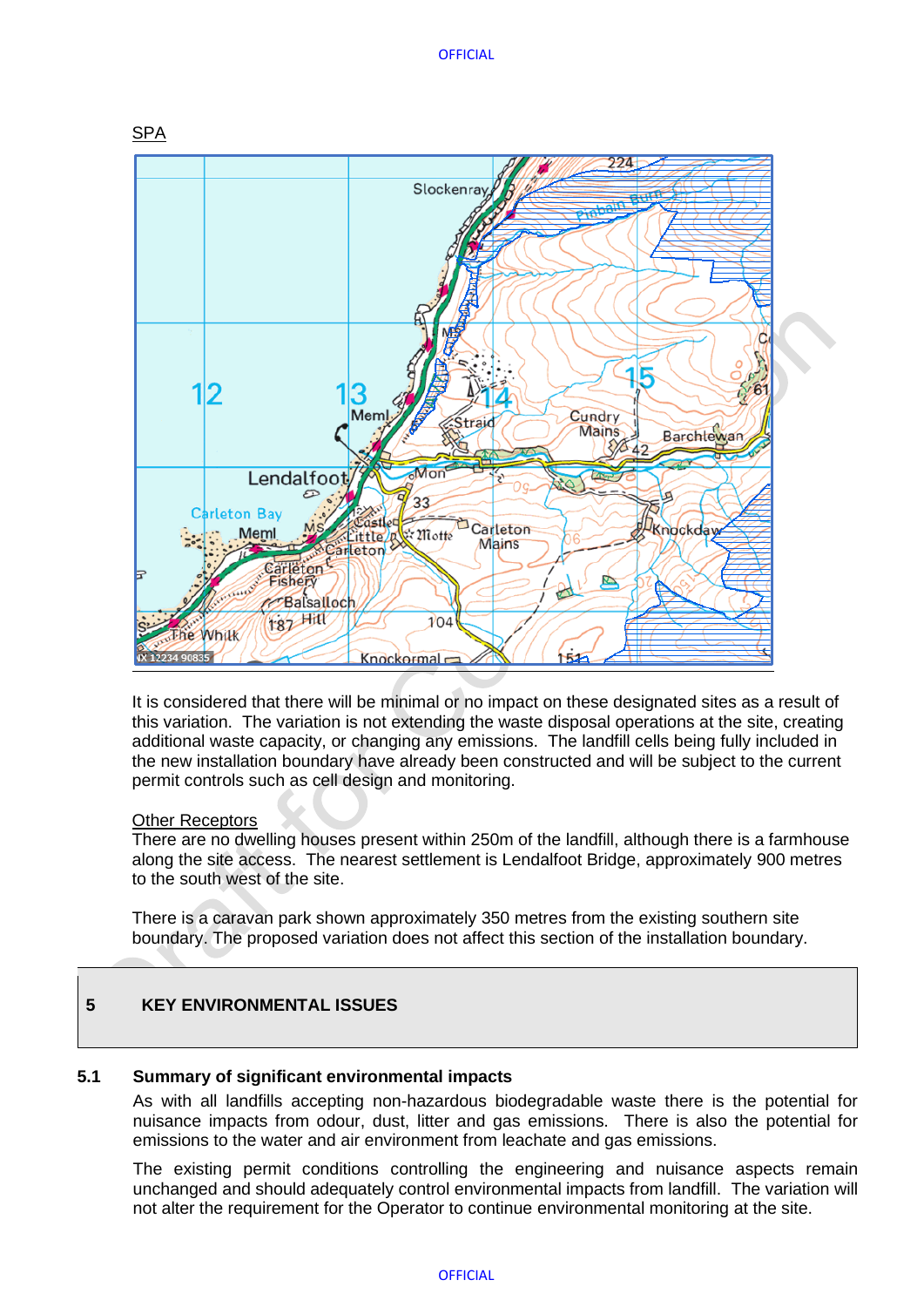#### **OFFICIAL**



It is considered that there will be minimal or no impact on these designated sites as a result of this variation. The variation is not extending the waste disposal operations at the site, creating additional waste capacity, or changing any emissions. The landfill cells being fully included in the new installation boundary have already been constructed and will be subject to the current permit controls such as cell design and monitoring.

#### Other Receptors

There are no dwelling houses present within 250m of the landfill, although there is a farmhouse along the site access. The nearest settlement is Lendalfoot Bridge, approximately 900 metres to the south west of the site.

There is a caravan park shown approximately 350 metres from the existing southern site boundary. The proposed variation does not affect this section of the installation boundary.

## <span id="page-5-0"></span>**5 KEY ENVIRONMENTAL ISSUES**

### <span id="page-5-1"></span>**5.1 Summary of significant environmental impacts**

As with all landfills accepting non-hazardous biodegradable waste there is the potential for nuisance impacts from odour, dust, litter and gas emissions. There is also the potential for emissions to the water and air environment from leachate and gas emissions.

The existing permit conditions controlling the engineering and nuisance aspects remain unchanged and should adequately control environmental impacts from landfill. The variation will not alter the requirement for the Operator to continue environmental monitoring at the site.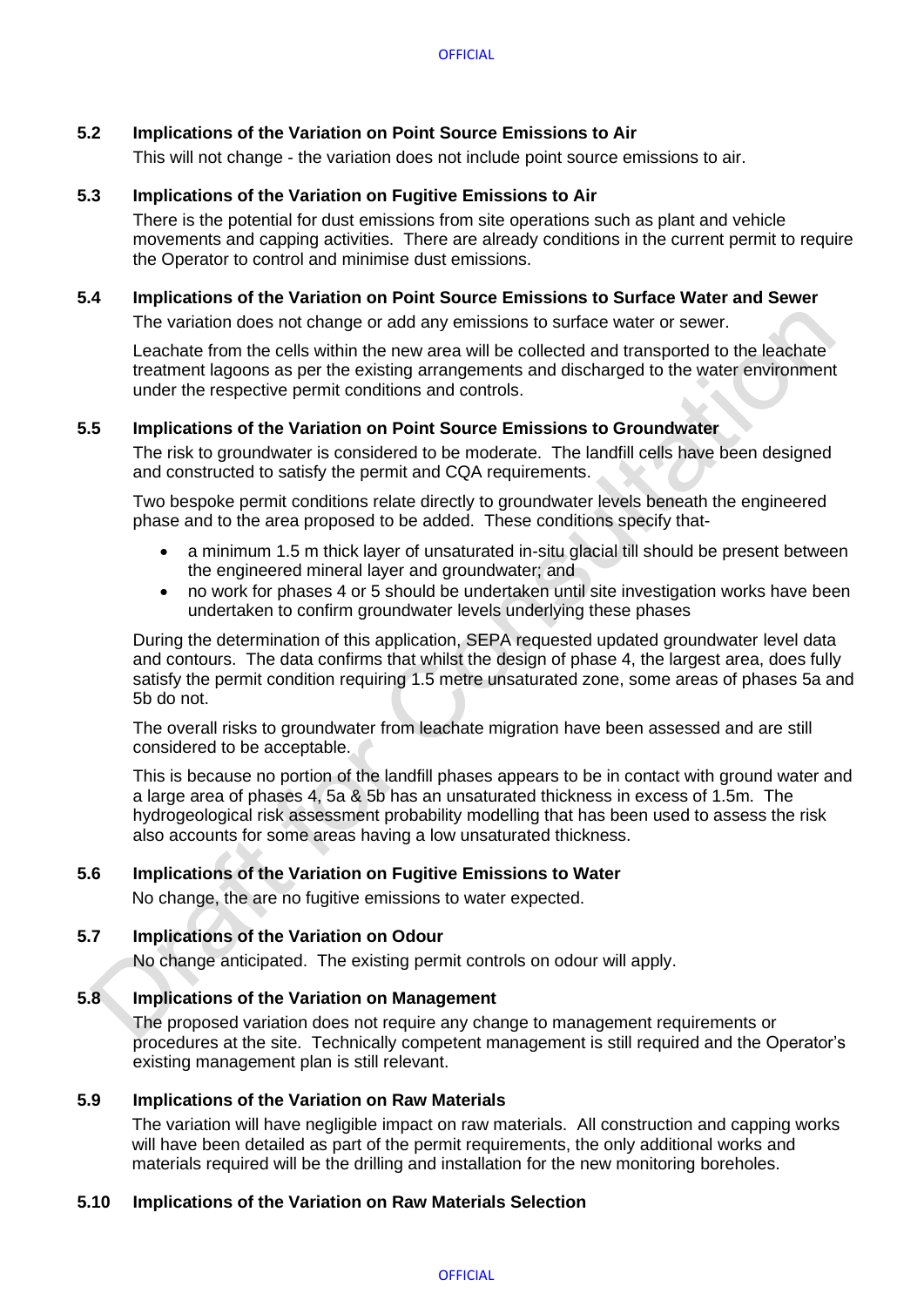### <span id="page-6-0"></span>**5.2 Implications of the Variation on Point Source Emissions to Air**

This will not change - the variation does not include point source emissions to air.

#### <span id="page-6-1"></span>**5.3 Implications of the Variation on Fugitive Emissions to Air**

There is the potential for dust emissions from site operations such as plant and vehicle movements and capping activities. There are already conditions in the current permit to require the Operator to control and minimise dust emissions.

## <span id="page-6-2"></span>**5.4 Implications of the Variation on Point Source Emissions to Surface Water and Sewer**

The variation does not change or add any emissions to surface water or sewer.

Leachate from the cells within the new area will be collected and transported to the leachate treatment lagoons as per the existing arrangements and discharged to the water environment under the respective permit conditions and controls.

#### <span id="page-6-3"></span>**5.5 Implications of the Variation on Point Source Emissions to Groundwater**

The risk to groundwater is considered to be moderate. The landfill cells have been designed and constructed to satisfy the permit and CQA requirements.

Two bespoke permit conditions relate directly to groundwater levels beneath the engineered phase and to the area proposed to be added. These conditions specify that-

- a minimum 1.5 m thick layer of unsaturated in-situ glacial till should be present between the engineered mineral layer and groundwater; and
- no work for phases 4 or 5 should be undertaken until site investigation works have been undertaken to confirm groundwater levels underlying these phases

During the determination of this application, SEPA requested updated groundwater level data and contours. The data confirms that whilst the design of phase 4, the largest area, does fully satisfy the permit condition requiring 1.5 metre unsaturated zone, some areas of phases 5a and 5b do not.

The overall risks to groundwater from leachate migration have been assessed and are still considered to be acceptable.

This is because no portion of the landfill phases appears to be in contact with ground water and a large area of phases 4, 5a & 5b has an unsaturated thickness in excess of 1.5m. The hydrogeological risk assessment probability modelling that has been used to assess the risk also accounts for some areas having a low unsaturated thickness.

#### <span id="page-6-4"></span>**5.6 Implications of the Variation on Fugitive Emissions to Water**

No change, the are no fugitive emissions to water expected.

### <span id="page-6-5"></span>**5.7 Implications of the Variation on Odour**

No change anticipated. The existing permit controls on odour will apply.

#### <span id="page-6-6"></span>**5.8 Implications of the Variation on Management**

The proposed variation does not require any change to management requirements or procedures at the site. Technically competent management is still required and the Operator's existing management plan is still relevant.

#### <span id="page-6-7"></span>**5.9 Implications of the Variation on Raw Materials**

The variation will have negligible impact on raw materials. All construction and capping works will have been detailed as part of the permit requirements, the only additional works and materials required will be the drilling and installation for the new monitoring boreholes.

#### <span id="page-6-8"></span>**5.10 Implications of the Variation on Raw Materials Selection**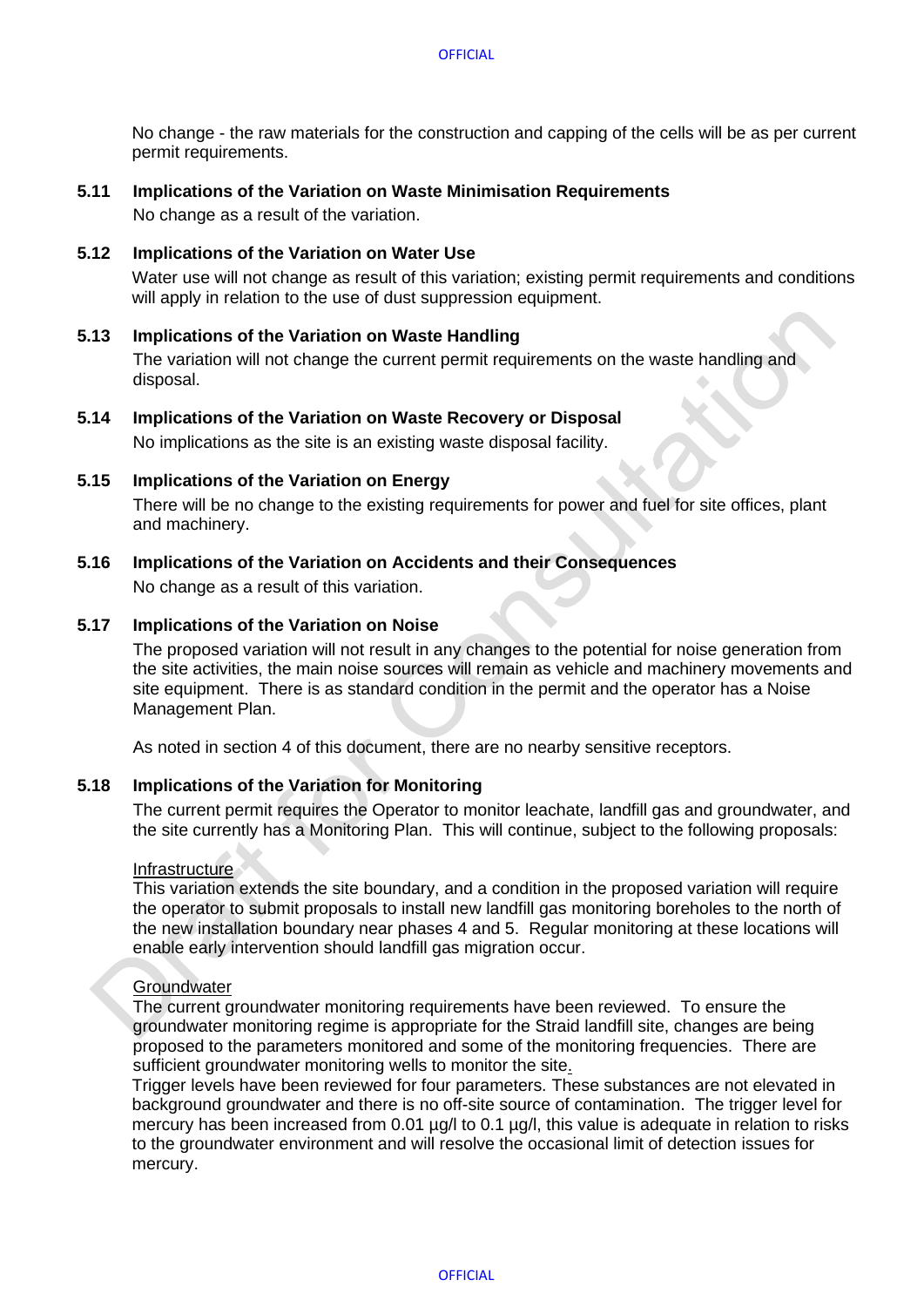No change - the raw materials for the construction and capping of the cells will be as per current permit requirements.

#### <span id="page-7-0"></span>**5.11 Implications of the Variation on Waste Minimisation Requirements**

No change as a result of the variation.

#### <span id="page-7-1"></span>**5.12 Implications of the Variation on Water Use**

Water use will not change as result of this variation; existing permit requirements and conditions will apply in relation to the use of dust suppression equipment.

#### <span id="page-7-2"></span>**5.13 Implications of the Variation on Waste Handling**

The variation will not change the current permit requirements on the waste handling and disposal.

### <span id="page-7-3"></span>**5.14 Implications of the Variation on Waste Recovery or Disposal**

No implications as the site is an existing waste disposal facility.

#### <span id="page-7-4"></span>**5.15 Implications of the Variation on Energy**

There will be no change to the existing requirements for power and fuel for site offices, plant and machinery.

#### <span id="page-7-5"></span>**5.16 Implications of the Variation on Accidents and their Consequences**

No change as a result of this variation.

#### <span id="page-7-6"></span>**5.17 Implications of the Variation on Noise**

The proposed variation will not result in any changes to the potential for noise generation from the site activities, the main noise sources will remain as vehicle and machinery movements and site equipment. There is as standard condition in the permit and the operator has a Noise Management Plan.

As noted in section 4 of this document, there are no nearby sensitive receptors.

#### <span id="page-7-7"></span>**5.18 Implications of the Variation for Monitoring**

The current permit requires the Operator to monitor leachate, landfill gas and groundwater, and the site currently has a Monitoring Plan. This will continue, subject to the following proposals:

#### Infrastructure

This variation extends the site boundary, and a condition in the proposed variation will require the operator to submit proposals to install new landfill gas monitoring boreholes to the north of the new installation boundary near phases 4 and 5. Regular monitoring at these locations will enable early intervention should landfill gas migration occur.

#### **Groundwater**

The current groundwater monitoring requirements have been reviewed. To ensure the groundwater monitoring regime is appropriate for the Straid landfill site, changes are being proposed to the parameters monitored and some of the monitoring frequencies. There are sufficient groundwater monitoring wells to monitor the site.

Trigger levels have been reviewed for four parameters. These substances are not elevated in background groundwater and there is no off-site source of contamination. The trigger level for mercury has been increased from 0.01 µg/l to 0.1 µg/l, this value is adequate in relation to risks to the groundwater environment and will resolve the occasional limit of detection issues for mercury.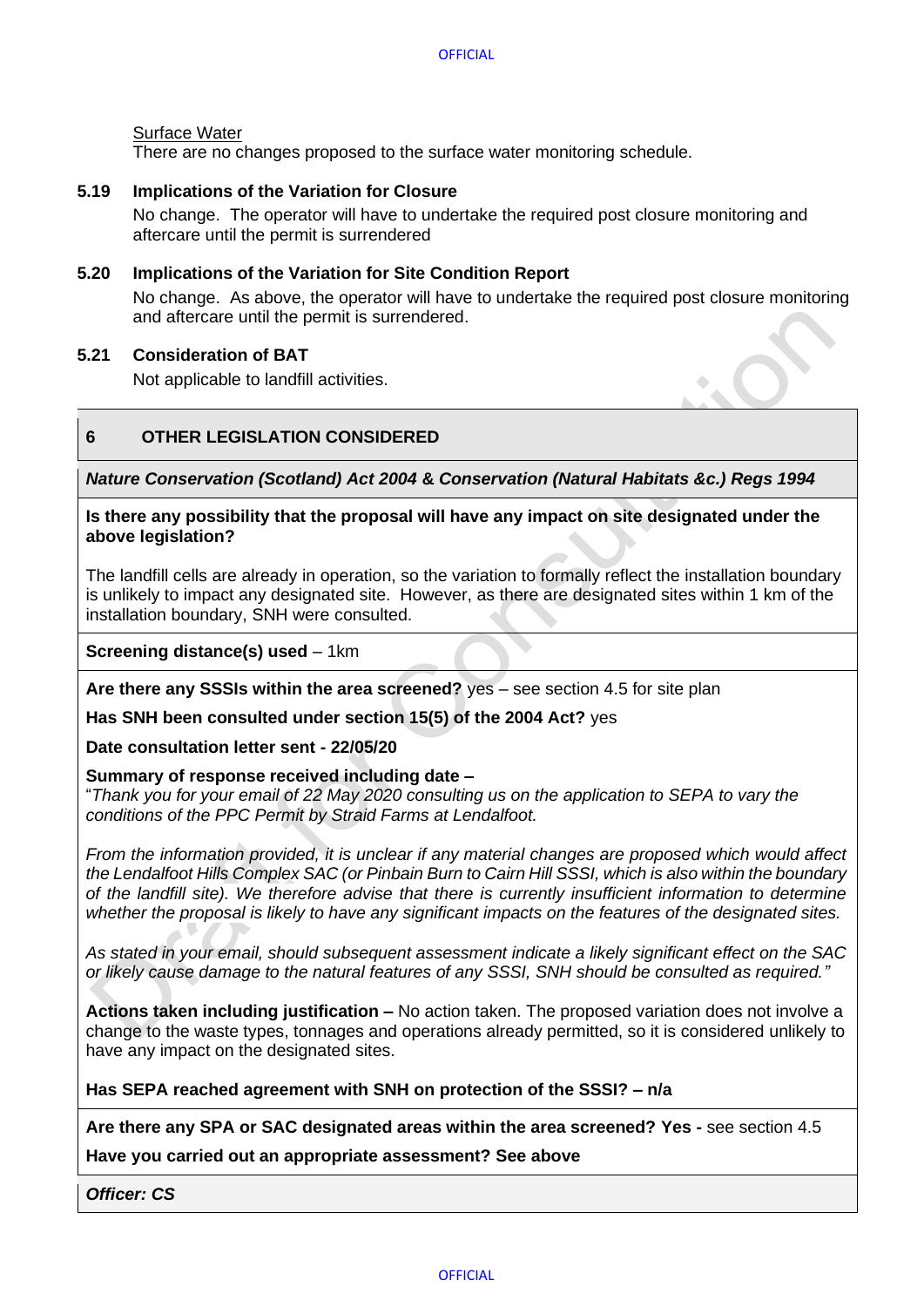### Surface Water

There are no changes proposed to the surface water monitoring schedule.

#### <span id="page-8-0"></span>**5.19 Implications of the Variation for Closure**

No change. The operator will have to undertake the required post closure monitoring and aftercare until the permit is surrendered

#### <span id="page-8-1"></span>**5.20 Implications of the Variation for Site Condition Report**

No change. As above, the operator will have to undertake the required post closure monitoring and aftercare until the permit is surrendered.

#### <span id="page-8-2"></span>**5.21 Consideration of BAT**

Not applicable to landfill activities.

## <span id="page-8-3"></span>**6 OTHER LEGISLATION CONSIDERED**

*Nature Conservation (Scotland) Act 2004* **&** *Conservation (Natural Habitats &c.) Regs 1994*

**Is there any possibility that the proposal will have any impact on site designated under the above legislation?** 

The landfill cells are already in operation, so the variation to formally reflect the installation boundary is unlikely to impact any designated site. However, as there are designated sites within 1 km of the installation boundary, SNH were consulted.

**Screening distance(s) used** – 1km

**Are there any SSSIs within the area screened?** yes – see section 4.5 for site plan

**Has SNH been consulted under section 15(5) of the 2004 Act?** yes

**Date consultation letter sent - 22/05/20**

#### **Summary of response received including date –**

"*Thank you for your email of 22 May 2020 consulting us on the application to SEPA to vary the conditions of the PPC Permit by Straid Farms at Lendalfoot.*

*From the information provided, it is unclear if any material changes are proposed which would affect the Lendalfoot Hills Complex SAC (or Pinbain Burn to Cairn Hill SSSI, which is also within the boundary of the landfill site). We therefore advise that there is currently insufficient information to determine whether the proposal is likely to have any significant impacts on the features of the designated sites.* 

*As stated in your email, should subsequent assessment indicate a likely significant effect on the SAC or likely cause damage to the natural features of any SSSI, SNH should be consulted as required."*

**Actions taken including justification –** No action taken. The proposed variation does not involve a change to the waste types, tonnages and operations already permitted, so it is considered unlikely to have any impact on the designated sites.

**Has SEPA reached agreement with SNH on protection of the SSSI? – n/a**

**Are there any SPA or SAC designated areas within the area screened? Yes -** see section 4.5

**Have you carried out an appropriate assessment? See above** 

*Officer: CS*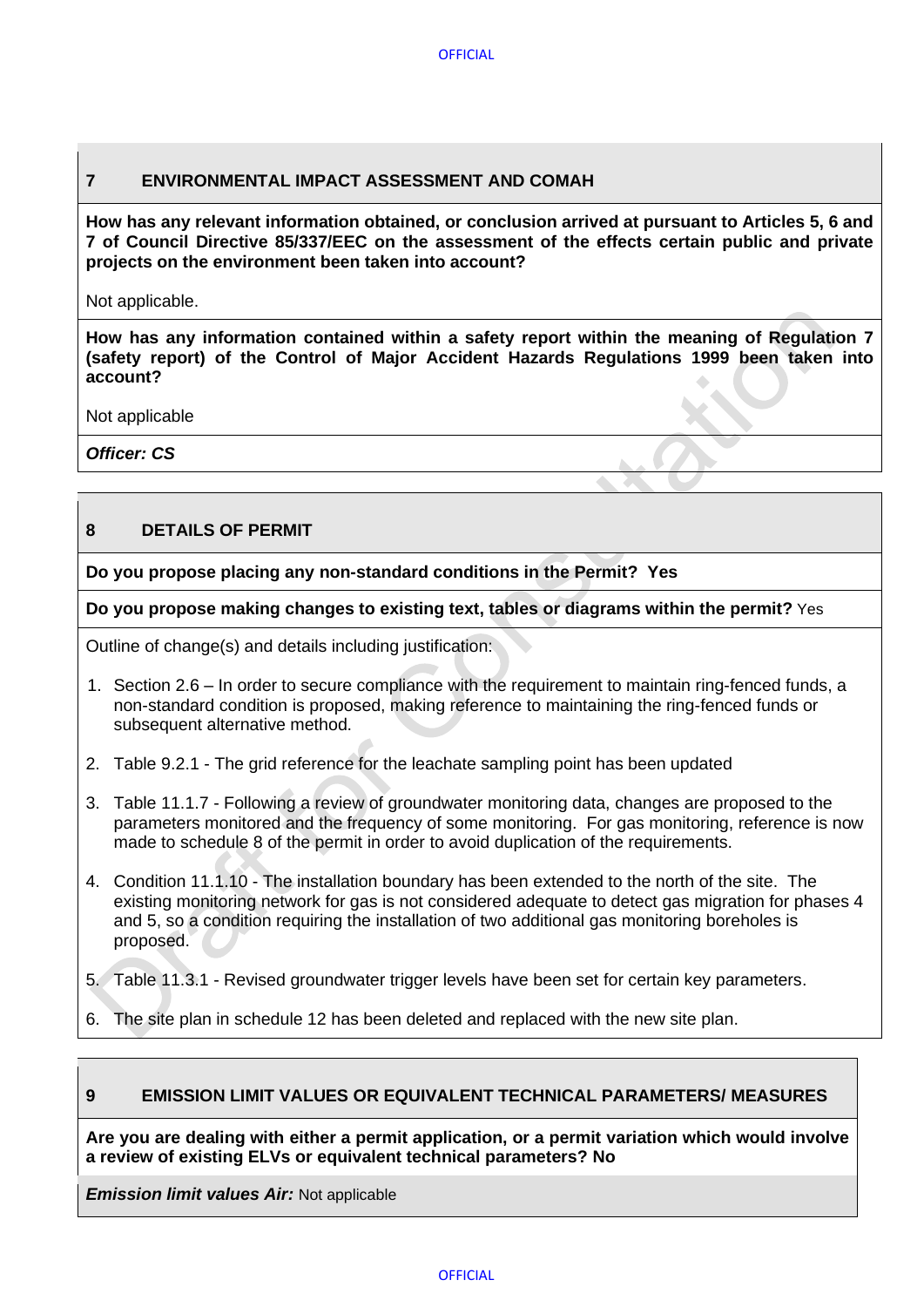## <span id="page-9-0"></span>**7 ENVIRONMENTAL IMPACT ASSESSMENT AND COMAH**

**How has any relevant information obtained, or conclusion arrived at pursuant to Articles 5, 6 and 7 of Council Directive 85/337/EEC on the assessment of the effects certain public and private projects on the environment been taken into account?**

Not applicable.

**How has any information contained within a safety report within the meaning of Regulation 7 (safety report) of the Control of Major Accident Hazards Regulations 1999 been taken into account?**

Not applicable

*Officer: CS*

## <span id="page-9-1"></span>**8 DETAILS OF PERMIT**

**Do you propose placing any non-standard conditions in the Permit? Yes** 

**Do you propose making changes to existing text, tables or diagrams within the permit?** Yes

Outline of change(s) and details including justification:

- 1. Section 2.6 In order to secure compliance with the requirement to maintain ring-fenced funds, a non-standard condition is proposed, making reference to maintaining the ring-fenced funds or subsequent alternative method.
- 2. Table 9.2.1 The grid reference for the leachate sampling point has been updated
- 3. Table 11.1.7 Following a review of groundwater monitoring data, changes are proposed to the parameters monitored and the frequency of some monitoring. For gas monitoring, reference is now made to schedule 8 of the permit in order to avoid duplication of the requirements.
- 4. Condition 11.1.10 The installation boundary has been extended to the north of the site. The existing monitoring network for gas is not considered adequate to detect gas migration for phases 4 and 5, so a condition requiring the installation of two additional gas monitoring boreholes is proposed.
- 5. Table 11.3.1 Revised groundwater trigger levels have been set for certain key parameters.
- 6. The site plan in schedule 12 has been deleted and replaced with the new site plan.

## <span id="page-9-2"></span>**9 EMISSION LIMIT VALUES OR EQUIVALENT TECHNICAL PARAMETERS/ MEASURES**

**Are you are dealing with either a permit application, or a permit variation which would involve a review of existing ELVs or equivalent technical parameters? No**

*Emission limit values Air: Not applicable*